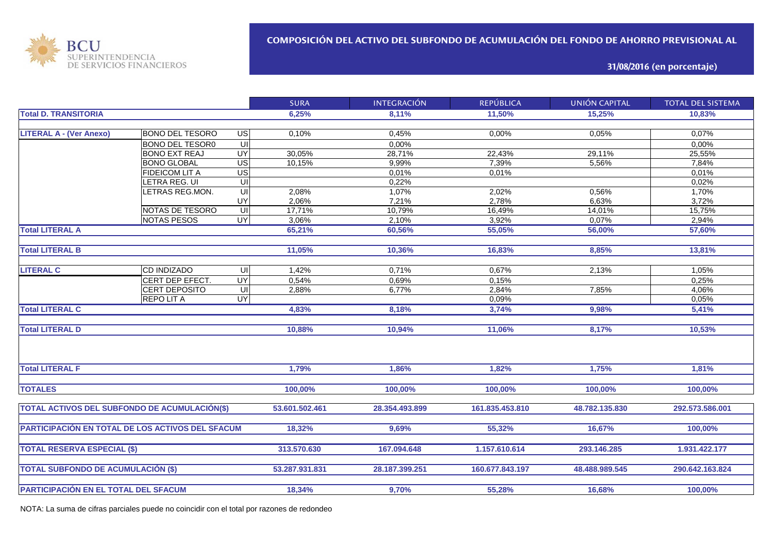

**31/08/2016 (en porcentaje)**

|                                                      |                        |                                    | <b>SURA</b>    | <b>INTEGRACIÓN</b> | <b>REPÚBLICA</b> | UNIÓN CAPITAL  | <b>TOTAL DEL SISTEMA</b> |
|------------------------------------------------------|------------------------|------------------------------------|----------------|--------------------|------------------|----------------|--------------------------|
| <b>Total D. TRANSITORIA</b>                          |                        |                                    | 6,25%          | 8,11%              | 11,50%           | 15,25%         | 10,83%                   |
|                                                      |                        |                                    |                |                    |                  |                |                          |
| <b>LITERAL A - (Ver Anexo)</b>                       | <b>BONO DEL TESORO</b> | $\overline{C}$                     | 0,10%          | 0,45%              | 0,00%            | 0,05%          | 0,07%                    |
|                                                      | <b>BONO DEL TESOR0</b> | S                                  |                | 0,00%              |                  |                | 0,00%                    |
|                                                      | <b>BONO EXT REAJ</b>   | UY                                 | 30.05%         | 28,71%             | 22,43%           | 29,11%         | 25,55%                   |
|                                                      | <b>BONO GLOBAL</b>     | $\overline{S}$                     | 10,15%         | 9,99%              | 7.39%            | 5,56%          | 7,84%                    |
|                                                      | FIDEICOM LIT A         | $\overline{C}$                     |                | 0,01%              | 0,01%            |                | 0,01%                    |
|                                                      | LETRA REG. UI          | UI                                 |                | 0,22%              |                  |                | 0,02%                    |
|                                                      | LETRAS REG.MON.        | UI                                 | 2,08%          | 1,07%              | 2,02%            | 0,56%          | 1,70%                    |
|                                                      |                        | UY                                 | 2,06%          | 7,21%              | 2,78%            | 6,63%          | 3,72%                    |
|                                                      | NOTAS DE TESORO        | $\overline{\mathsf{u}}$            | 17,71%         | 10,79%             | 16,49%           | 14,01%         | 15,75%                   |
|                                                      | <b>NOTAS PESOS</b>     | UY                                 | 3,06%          | 2,10%              | 3,92%            | 0,07%          | 2,94%                    |
| <b>Total LITERAL A</b>                               |                        |                                    | 65,21%         | 60,56%             | 55,05%           | 56,00%         | 57,60%                   |
|                                                      |                        |                                    |                |                    |                  |                |                          |
| <b>Total LITERAL B</b>                               |                        |                                    | 11,05%         | 10,36%             | 16,83%           | 8,85%          | 13,81%                   |
|                                                      |                        |                                    |                |                    |                  |                |                          |
| <b>LITERAL C</b>                                     | CD INDIZADO            | UI                                 | 1,42%          | 0,71%              | 0,67%            | 2,13%          | 1.05%                    |
|                                                      | CERT DEP EFECT.        | UY <sup></sup>                     | 0,54%          | 0,69%              | 0,15%            |                | 0,25%                    |
|                                                      | CERT DEPOSITO          | $\overline{\overline{\mathsf{u}}}$ | 2,88%          | 6,77%              | 2,84%            | 7,85%          | 4,06%                    |
|                                                      | REPO LIT A             | <b>UY</b>                          |                |                    | 0,09%            |                | 0,05%                    |
| <b>Total LITERAL C</b>                               |                        |                                    | 4,83%          | 8,18%              | 3,74%            | 9,98%          | 5,41%                    |
|                                                      |                        |                                    |                |                    |                  |                |                          |
| <b>Total LITERAL D</b>                               |                        |                                    | 10,88%         | 10,94%             | 11,06%           | 8,17%          | 10,53%                   |
|                                                      |                        |                                    |                |                    |                  |                |                          |
| <b>Total LITERAL F</b>                               |                        |                                    | 1,79%          | 1,86%              | 1,82%            | 1,75%          | 1,81%                    |
|                                                      |                        |                                    |                |                    |                  |                |                          |
| <b>TOTALES</b>                                       |                        |                                    | 100,00%        | 100,00%            | 100,00%          | 100,00%        | 100,00%                  |
| <b>TOTAL ACTIVOS DEL SUBFONDO DE ACUMULACIÓN(\$)</b> |                        |                                    | 53.601.502.461 | 28.354.493.899     | 161.835.453.810  | 48.782.135.830 | 292.573.586.001          |
| PARTICIPACIÓN EN TOTAL DE LOS ACTIVOS DEL SFACUM     |                        | 18,32%                             | 9,69%          | 55,32%             | 16,67%           | 100,00%        |                          |
|                                                      |                        |                                    |                |                    |                  |                |                          |
| <b>TOTAL RESERVA ESPECIAL (\$)</b>                   |                        |                                    | 313.570.630    | 167.094.648        | 1.157.610.614    | 293.146.285    | 1.931.422.177            |
|                                                      |                        |                                    |                |                    |                  |                |                          |
| <b>TOTAL SUBFONDO DE ACUMULACIÓN (\$)</b>            |                        |                                    | 53.287.931.831 | 28.187.399.251     | 160.677.843.197  | 48.488.989.545 | 290.642.163.824          |
|                                                      |                        |                                    |                |                    |                  |                |                          |
| PARTICIPACIÓN EN EL TOTAL DEL SFACUM                 |                        |                                    | 18,34%         | 9,70%              | 55,28%           | 16,68%         | 100,00%                  |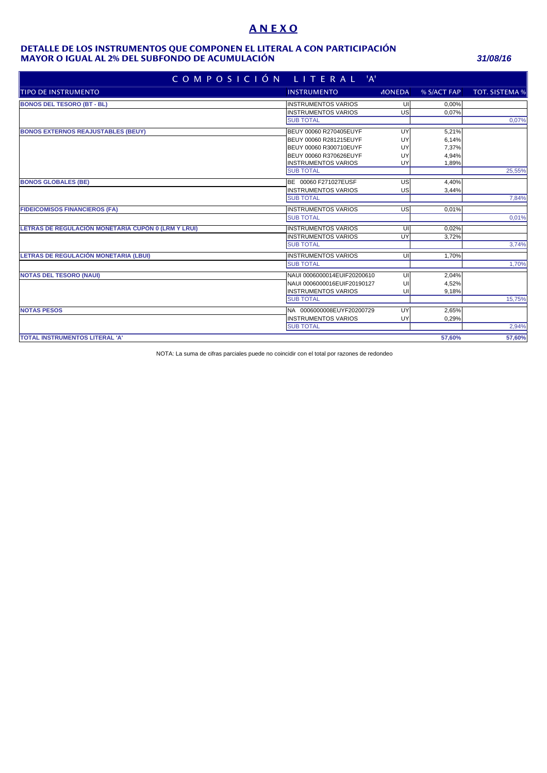# **A N E X O**

### **MAYOR O IGUAL AL 2% DEL SUBFONDO DE ACUMULACIÓN** *31/08/16* **DETALLE DE LOS INSTRUMENTOS QUE COMPONEN EL LITERAL A CON PARTICIPACIÓN**

| COMPOSICIÓN LITERAL 'A'                             |                             |                 |             |                       |  |  |
|-----------------------------------------------------|-----------------------------|-----------------|-------------|-----------------------|--|--|
| <b>TIPO DE INSTRUMENTO</b>                          | <b>INSTRUMENTO</b>          | <b>MONEDA</b>   | % S/ACT FAP | <b>TOT. SISTEMA %</b> |  |  |
| <b>BONOS DEL TESORO (BT - BL)</b>                   | <b>INSTRUMENTOS VARIOS</b>  | UI              | 0.00%       |                       |  |  |
|                                                     | <b>INSTRUMENTOS VARIOS</b>  | US              | 0.07%       |                       |  |  |
|                                                     | <b>SUB TOTAL</b>            |                 |             | 0,07%                 |  |  |
| <b>BONOS EXTERNOS REAJUSTABLES (BEUY)</b>           | BEUY 00060 R270405EUYF      | UY              | 5,21%       |                       |  |  |
|                                                     | BEUY 00060 R281215EUYF      | UY              | 6,14%       |                       |  |  |
|                                                     | BEUY 00060 R300710EUYF      | UY              | 7,37%       |                       |  |  |
|                                                     | BEUY 00060 R370626EUYF      | UY              | 4,94%       |                       |  |  |
|                                                     | <b>INSTRUMENTOS VARIOS</b>  | UY              | 1,89%       |                       |  |  |
|                                                     | <b>SUB TOTAL</b>            |                 |             | 25,55%                |  |  |
| <b>BONOS GLOBALES (BE)</b>                          | BE 00060 F271027EUSF        | $\overline{US}$ | 4,40%       |                       |  |  |
|                                                     | <b>INSTRUMENTOS VARIOS</b>  | US              | 3,44%       |                       |  |  |
|                                                     | <b>SUB TOTAL</b>            |                 |             | 7,84%                 |  |  |
| <b>FIDEICOMISOS FINANCIEROS (FA)</b>                | <b>INSTRUMENTOS VARIOS</b>  | US              | 0.01%       |                       |  |  |
|                                                     | <b>SUB TOTAL</b>            |                 |             | 0,01%                 |  |  |
| LETRAS DE REGULACIÓN MONETARIA CUPÓN 0 (LRM Y LRUI) | <b>INSTRUMENTOS VARIOS</b>  | UI              | 0.02%       |                       |  |  |
|                                                     | <b>INSTRUMENTOS VARIOS</b>  | UY              | 3.72%       |                       |  |  |
|                                                     | <b>SUB TOTAL</b>            |                 |             | 3,74%                 |  |  |
| LETRAS DE REGULACIÓN MONETARIA (LBUI)               | <b>INSTRUMENTOS VARIOS</b>  | UI              | 1,70%       |                       |  |  |
|                                                     | <b>SUB TOTAL</b>            |                 |             | 1,70%                 |  |  |
| <b>NOTAS DEL TESORO (NAUI)</b>                      | NAUI 0006000014EUIF20200610 | UI              | 2,04%       |                       |  |  |
|                                                     | NAUI 0006000016EUIF20190127 | UI              | 4,52%       |                       |  |  |
|                                                     | <b>INSTRUMENTOS VARIOS</b>  | UI              | 9,18%       |                       |  |  |
|                                                     | <b>SUB TOTAL</b>            |                 |             | 15,75%                |  |  |
| <b>NOTAS PESOS</b>                                  | NA 0006000008EUYF20200729   | UY              | 2,65%       |                       |  |  |
|                                                     | <b>INSTRUMENTOS VARIOS</b>  | UY              | 0,29%       |                       |  |  |
|                                                     | <b>SUB TOTAL</b>            |                 |             | 2,94%                 |  |  |
| TOTAL INSTRUMENTOS LITERAL 'A'                      |                             |                 | 57.60%      | 57,60%                |  |  |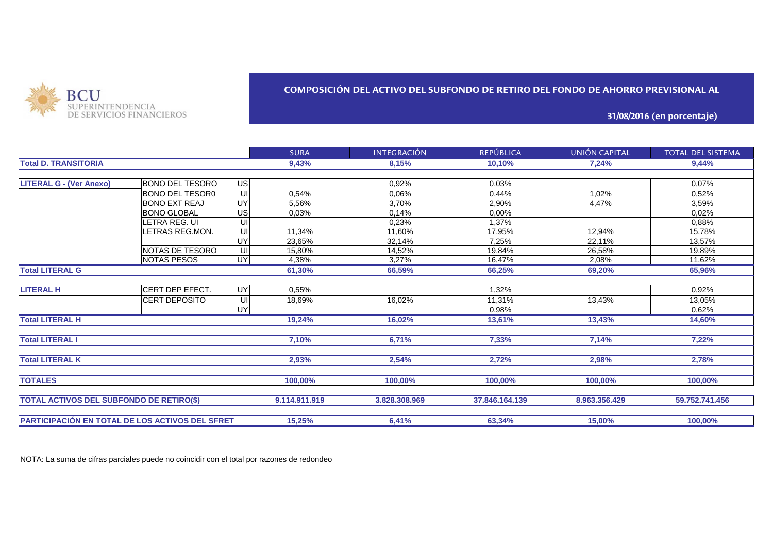

### **COMPOSICIÓN DEL ACTIVO DEL SUBFONDO DE RETIRO DEL FONDO DE AHORRO PREVISIONAL AL**

**31/08/2016 (en porcentaje)**

|                                                 |                        |           | <b>SURA</b>   | <b>INTEGRACIÓN</b> | <b>REPÚBLICA</b> | UNIÓN CAPITAL | <b>TOTAL DEL SISTEMA</b> |
|-------------------------------------------------|------------------------|-----------|---------------|--------------------|------------------|---------------|--------------------------|
| <b>Total D. TRANSITORIA</b>                     |                        |           | 9,43%         | 8,15%              | 10,10%           | 7,24%         | 9,44%                    |
|                                                 |                        |           |               |                    |                  |               |                          |
| <b>LITERAL G - (Ver Anexo)</b>                  | BONO DEL TESORO        | US        |               | 0,92%              | 0,03%            |               | 0,07%                    |
|                                                 | <b>BONO DEL TESOR0</b> | -UII      | 0.54%         | 0.06%              | 0,44%            | 1,02%         | 0,52%                    |
|                                                 | <b>BONO EXT REAJ</b>   | UY        | 5,56%         | 3,70%              | 2,90%            | 4,47%         | 3,59%                    |
|                                                 | <b>BONO GLOBAL</b>     | US        | 0,03%         | 0.14%              | 0.00%            |               | 0,02%                    |
|                                                 | LETRA REG. UI          | UI        |               | 0,23%              | 1,37%            |               | 0,88%                    |
|                                                 | LETRAS REG.MON.        | UI        | 11,34%        | 11,60%             | 17,95%           | 12,94%        | 15,78%                   |
|                                                 |                        | UY        | 23,65%        | 32,14%             | 7,25%            | 22,11%        | 13,57%                   |
|                                                 | NOTAS DE TESORO        | UI        | 15,80%        | 14,52%             | 19,84%           | 26,58%        | 19,89%                   |
|                                                 | <b>NOTAS PESOS</b>     | <b>UY</b> | 4,38%         | 3,27%              | 16,47%           | 2,08%         | 11,62%                   |
| <b>Total LITERAL G</b>                          |                        |           | 61,30%        | 66,59%             | 66,25%           | 69,20%        | 65,96%                   |
|                                                 |                        |           |               |                    |                  |               |                          |
| <b>LITERAL H</b>                                | CERT DEP EFECT.        | <b>UY</b> | 0,55%         |                    | 1,32%            |               | 0,92%                    |
|                                                 | <b>CERT DEPOSITO</b>   | UI        | 18,69%        | 16,02%             | 11,31%           | 13,43%        | 13,05%                   |
|                                                 |                        | UY        |               |                    | 0,98%            |               | 0,62%                    |
| <b>Total LITERAL H</b>                          |                        |           | 19,24%        | 16,02%             | 13,61%           | 13,43%        | 14,60%                   |
| <b>Total LITERAL I</b>                          |                        |           | 7,10%         | 6,71%              | 7,33%            | 7,14%         | 7,22%                    |
| <b>Total LITERAL K</b>                          |                        |           | 2,93%         | 2,54%              | 2,72%            | 2,98%         | 2,78%                    |
| <b>TOTALES</b>                                  |                        |           | 100,00%       | 100,00%            | 100,00%          | 100,00%       | 100,00%                  |
| <b>TOTAL ACTIVOS DEL SUBFONDO DE RETIRO(\$)</b> |                        |           | 9.114.911.919 | 3.828.308.969      | 37.846.164.139   | 8.963.356.429 | 59.752.741.456           |
| PARTICIPACIÓN EN TOTAL DE LOS ACTIVOS DEL SFRET |                        |           | 15,25%        | 6,41%              | 63,34%           | 15,00%        | 100,00%                  |